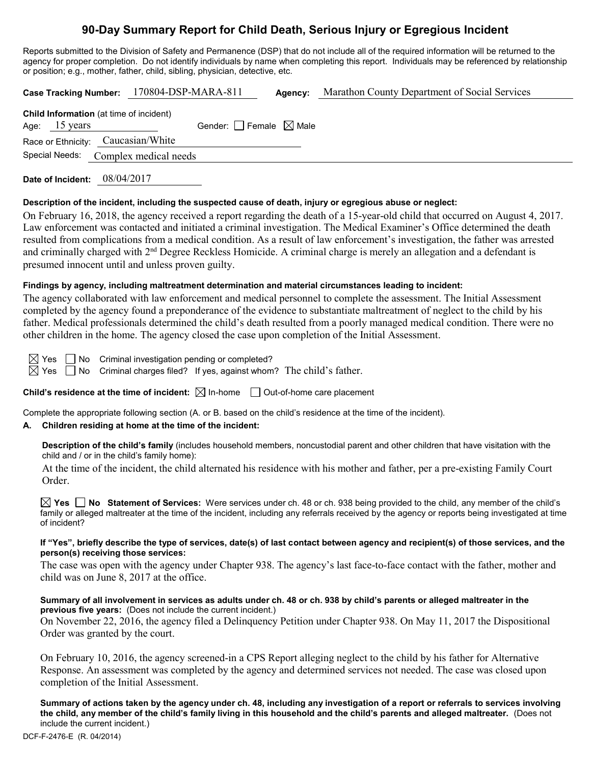# **90-Day Summary Report for Child Death, Serious Injury or Egregious Incident**

Reports submitted to the Division of Safety and Permanence (DSP) that do not include all of the required information will be returned to the agency for proper completion. Do not identify individuals by name when completing this report. Individuals may be referenced by relationship or position; e.g., mother, father, child, sibling, physician, detective, etc.

**Case Tracking Number:** 170804-DSP-MARA-811 **Agency:** Marathon County Department of Social Services **Child Information** (at time of incident) Age: 15 years Gender:  $\Box$  Female  $\boxtimes$  Male Race or Ethnicity: Caucasian/White Special Needs: Complex medical needs

**Date of Incident:** 08/04/2017

# **Description of the incident, including the suspected cause of death, injury or egregious abuse or neglect:**

On February 16, 2018, the agency received a report regarding the death of a 15-year-old child that occurred on August 4, 2017. Law enforcement was contacted and initiated a criminal investigation. The Medical Examiner's Office determined the death resulted from complications from a medical condition. As a result of law enforcement's investigation, the father was arrested and criminally charged with 2<sup>nd</sup> Degree Reckless Homicide. A criminal charge is merely an allegation and a defendant is presumed innocent until and unless proven guilty.

# **Findings by agency, including maltreatment determination and material circumstances leading to incident:**

The agency collaborated with law enforcement and medical personnel to complete the assessment. The Initial Assessment completed by the agency found a preponderance of the evidence to substantiate maltreatment of neglect to the child by his father. Medical professionals determined the child's death resulted from a poorly managed medical condition. There were no other children in the home. The agency closed the case upon completion of the Initial Assessment.

 $\boxtimes$  Yes  $\Box$  No Criminal investigation pending or completed?  $\boxtimes$  Yes  $\Box$  No Criminal charges filed? If yes, against whom? The child's father.

**Child's residence at the time of incident:** ⊠ In-home □ Out-of-home care placement

Complete the appropriate following section (A. or B. based on the child's residence at the time of the incident).

# **A. Children residing at home at the time of the incident:**

**Description of the child's family** (includes household members, noncustodial parent and other children that have visitation with the child and / or in the child's family home):

At the time of the incident, the child alternated his residence with his mother and father, per a pre-existing Family Court Order.

**Yes No Statement of Services:** Were services under ch. 48 or ch. 938 being provided to the child, any member of the child's family or alleged maltreater at the time of the incident, including any referrals received by the agency or reports being investigated at time of incident?

#### **If "Yes", briefly describe the type of services, date(s) of last contact between agency and recipient(s) of those services, and the person(s) receiving those services:**

The case was open with the agency under Chapter 938. The agency's last face-to-face contact with the father, mother and child was on June 8, 2017 at the office.

# **Summary of all involvement in services as adults under ch. 48 or ch. 938 by child's parents or alleged maltreater in the previous five years:** (Does not include the current incident.)

On November 22, 2016, the agency filed a Delinquency Petition under Chapter 938. On May 11, 2017 the Dispositional Order was granted by the court.

On February 10, 2016, the agency screened-in a CPS Report alleging neglect to the child by his father for Alternative Response. An assessment was completed by the agency and determined services not needed. The case was closed upon completion of the Initial Assessment.

**Summary of actions taken by the agency under ch. 48, including any investigation of a report or referrals to services involving the child, any member of the child's family living in this household and the child's parents and alleged maltreater.** (Does not include the current incident.)